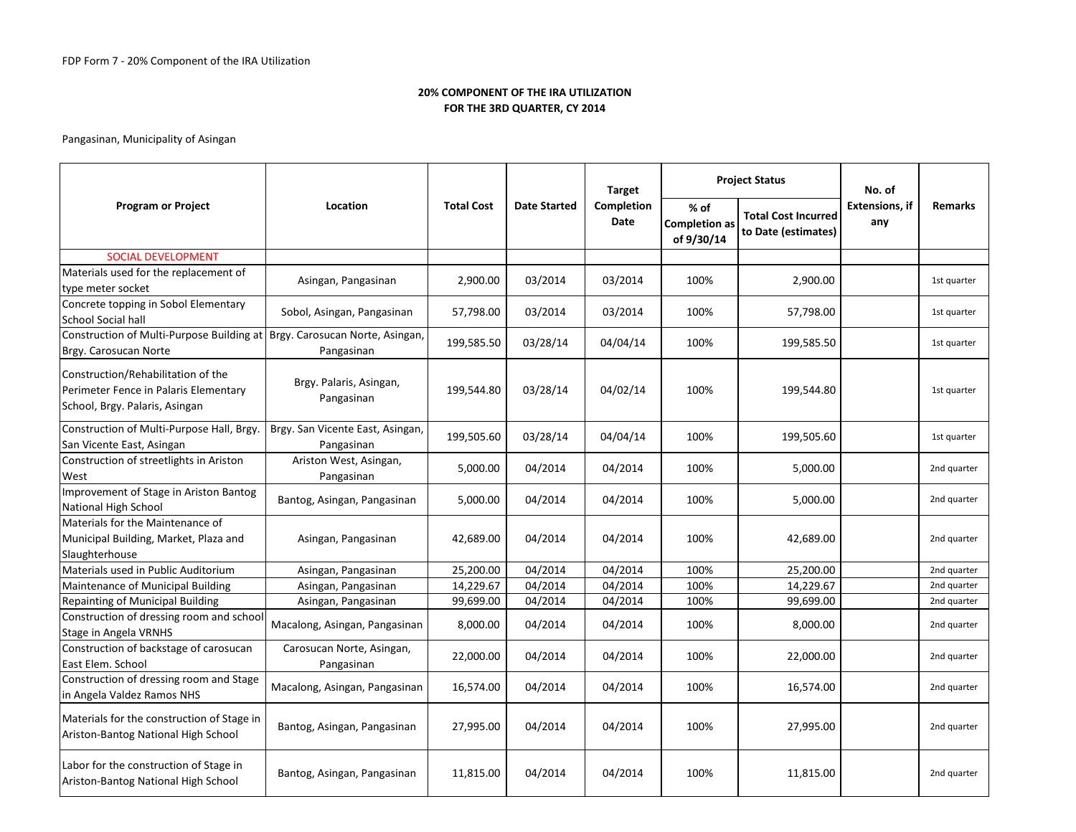|                                                                                                               |                                                |                   |                     | <b>Target</b>      |                                              | <b>Project Status</b>                             | No. of                        |                |
|---------------------------------------------------------------------------------------------------------------|------------------------------------------------|-------------------|---------------------|--------------------|----------------------------------------------|---------------------------------------------------|-------------------------------|----------------|
| <b>Program or Project</b>                                                                                     | Location                                       | <b>Total Cost</b> | <b>Date Started</b> | Completion<br>Date | $%$ of<br><b>Completion as</b><br>of 9/30/14 | <b>Total Cost Incurred</b><br>to Date (estimates) | <b>Extensions</b> , if<br>any | <b>Remarks</b> |
| <b>SOCIAL DEVELOPMENT</b>                                                                                     |                                                |                   |                     |                    |                                              |                                                   |                               |                |
| Materials used for the replacement of<br>type meter socket                                                    | Asingan, Pangasinan                            | 2,900.00          | 03/2014             | 03/2014            | 100%                                         | 2,900.00                                          |                               | 1st quarter    |
| Concrete topping in Sobol Elementary<br><b>School Social hall</b>                                             | Sobol, Asingan, Pangasinan                     | 57,798.00         | 03/2014             | 03/2014            | 100%                                         | 57,798.00                                         |                               | 1st quarter    |
| Construction of Multi-Purpose Building at   Brgy. Carosucan Norte, Asingan,<br>Brgy. Carosucan Norte          | Pangasinan                                     | 199,585.50        | 03/28/14            | 04/04/14           | 100%                                         | 199,585.50                                        |                               | 1st quarter    |
| Construction/Rehabilitation of the<br>Perimeter Fence in Palaris Elementary<br>School, Brgy. Palaris, Asingan | Brgy. Palaris, Asingan,<br>Pangasinan          | 199,544.80        | 03/28/14            | 04/02/14           | 100%                                         | 199,544.80                                        |                               | 1st quarter    |
| Construction of Multi-Purpose Hall, Brgy.<br>San Vicente East, Asingan                                        | Brgy. San Vicente East, Asingan,<br>Pangasinan | 199,505.60        | 03/28/14            | 04/04/14           | 100%                                         | 199,505.60                                        |                               | 1st quarter    |
| Construction of streetlights in Ariston<br>West                                                               | Ariston West, Asingan,<br>Pangasinan           | 5,000.00          | 04/2014             | 04/2014            | 100%                                         | 5,000.00                                          |                               | 2nd quarter    |
| Improvement of Stage in Ariston Bantog<br>National High School                                                | Bantog, Asingan, Pangasinan                    | 5,000.00          | 04/2014             | 04/2014            | 100%                                         | 5,000.00                                          |                               | 2nd quarter    |
| Materials for the Maintenance of<br>Municipal Building, Market, Plaza and<br>Slaughterhouse                   | Asingan, Pangasinan                            | 42,689.00         | 04/2014             | 04/2014            | 100%                                         | 42,689.00                                         |                               | 2nd quarter    |
| Materials used in Public Auditorium                                                                           | Asingan, Pangasinan                            | 25,200.00         | 04/2014             | 04/2014            | 100%                                         | 25,200.00                                         |                               | 2nd quarter    |
| Maintenance of Municipal Building                                                                             | Asingan, Pangasinan                            | 14,229.67         | 04/2014             | 04/2014            | 100%                                         | 14,229.67                                         |                               | 2nd quarter    |
| Repainting of Municipal Building                                                                              | Asingan, Pangasinan                            | 99,699.00         | 04/2014             | 04/2014            | 100%                                         | 99,699.00                                         |                               | 2nd quarter    |
| Construction of dressing room and school<br>Stage in Angela VRNHS                                             | Macalong, Asingan, Pangasinan                  | 8,000.00          | 04/2014             | 04/2014            | 100%                                         | 8,000.00                                          |                               | 2nd quarter    |
| Construction of backstage of carosucan<br>East Elem. School                                                   | Carosucan Norte, Asingan,<br>Pangasinan        | 22,000.00         | 04/2014             | 04/2014            | 100%                                         | 22,000.00                                         |                               | 2nd quarter    |
| Construction of dressing room and Stage<br>in Angela Valdez Ramos NHS                                         | Macalong, Asingan, Pangasinan                  | 16,574.00         | 04/2014             | 04/2014            | 100%                                         | 16,574.00                                         |                               | 2nd quarter    |
| Materials for the construction of Stage in<br>Ariston-Bantog National High School                             | Bantog, Asingan, Pangasinan                    | 27,995.00         | 04/2014             | 04/2014            | 100%                                         | 27,995.00                                         |                               | 2nd quarter    |
| Labor for the construction of Stage in<br>Ariston-Bantog National High School                                 | Bantog, Asingan, Pangasinan                    | 11,815.00         | 04/2014             | 04/2014            | 100%                                         | 11,815.00                                         |                               | 2nd quarter    |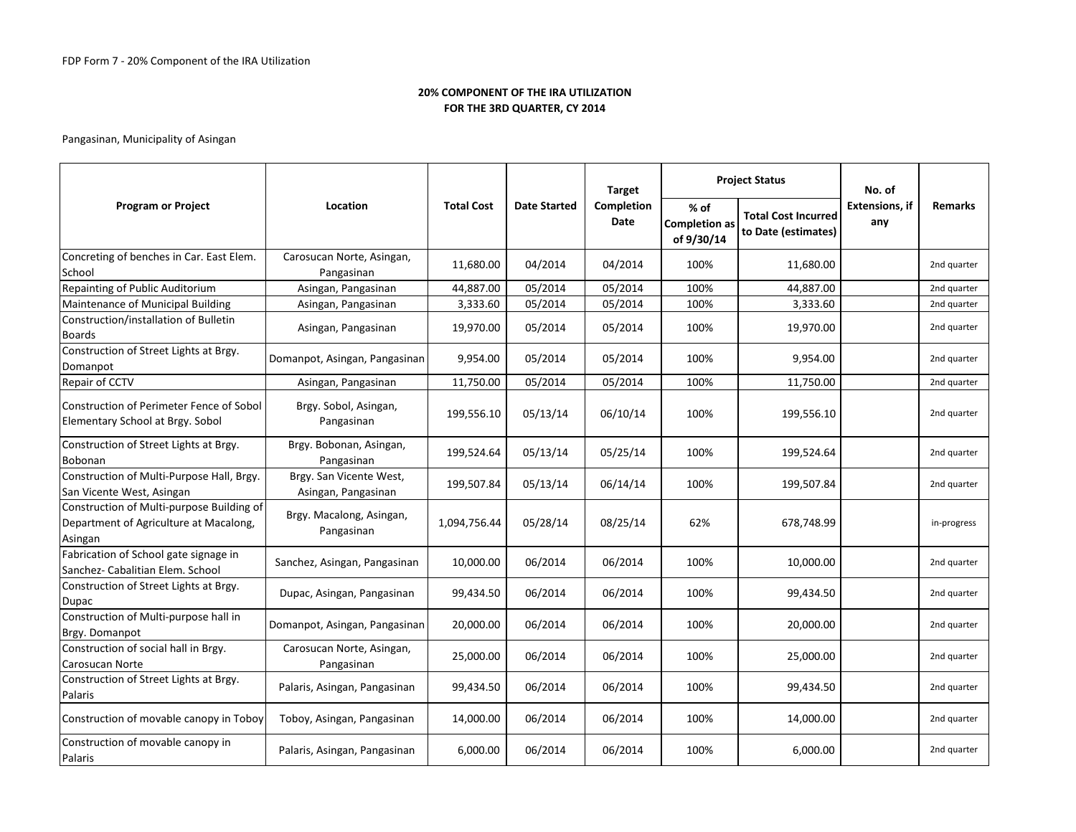|                                                                                                |                                                |                   |                     | <b>Target</b>      |                                            | <b>Project Status</b>                             | No. of                       | <b>Remarks</b><br>2nd quarter<br>2nd quarter<br>2nd quarter<br>2nd quarter<br>2nd quarter<br>2nd quarter<br>2nd quarter<br>2nd quarter<br>2nd quarter |
|------------------------------------------------------------------------------------------------|------------------------------------------------|-------------------|---------------------|--------------------|--------------------------------------------|---------------------------------------------------|------------------------------|-------------------------------------------------------------------------------------------------------------------------------------------------------|
| <b>Program or Project</b>                                                                      | Location                                       | <b>Total Cost</b> | <b>Date Started</b> | Completion<br>Date | % of<br><b>Completion as</b><br>of 9/30/14 | <b>Total Cost Incurred</b><br>to Date (estimates) | <b>Extensions, if</b><br>any |                                                                                                                                                       |
| Concreting of benches in Car. East Elem.<br>School                                             | Carosucan Norte, Asingan,<br>Pangasinan        | 11,680.00         | 04/2014             | 04/2014            | 100%                                       | 11,680.00                                         |                              |                                                                                                                                                       |
| Repainting of Public Auditorium                                                                | Asingan, Pangasinan                            | 44,887.00         | 05/2014             | 05/2014            | 100%                                       | 44,887.00                                         |                              |                                                                                                                                                       |
| Maintenance of Municipal Building                                                              | Asingan, Pangasinan                            | 3,333.60          | 05/2014             | 05/2014            | 100%                                       | 3,333.60                                          |                              |                                                                                                                                                       |
| Construction/installation of Bulletin<br><b>Boards</b>                                         | Asingan, Pangasinan                            | 19,970.00         | 05/2014             | 05/2014            | 100%                                       | 19,970.00                                         |                              |                                                                                                                                                       |
| Construction of Street Lights at Brgy.<br>Domanpot                                             | Domanpot, Asingan, Pangasinan                  | 9,954.00          | 05/2014             | 05/2014            | 100%                                       | 9,954.00                                          |                              |                                                                                                                                                       |
| Repair of CCTV                                                                                 | Asingan, Pangasinan                            | 11,750.00         | 05/2014             | 05/2014            | 100%                                       | 11,750.00                                         |                              |                                                                                                                                                       |
| Construction of Perimeter Fence of Sobol<br>Elementary School at Brgy. Sobol                   | Brgy. Sobol, Asingan,<br>Pangasinan            | 199,556.10        | 05/13/14            | 06/10/14           | 100%                                       | 199,556.10                                        |                              |                                                                                                                                                       |
| Construction of Street Lights at Brgy.<br>Bobonan                                              | Brgy. Bobonan, Asingan,<br>Pangasinan          | 199,524.64        | 05/13/14            | 05/25/14           | 100%                                       | 199,524.64                                        |                              |                                                                                                                                                       |
| Construction of Multi-Purpose Hall, Brgy.<br>San Vicente West, Asingan                         | Brgy. San Vicente West,<br>Asingan, Pangasinan | 199,507.84        | 05/13/14            | 06/14/14           | 100%                                       | 199,507.84                                        |                              |                                                                                                                                                       |
| Construction of Multi-purpose Building of<br>Department of Agriculture at Macalong,<br>Asingan | Brgy. Macalong, Asingan,<br>Pangasinan         | 1,094,756.44      | 05/28/14            | 08/25/14           | 62%                                        | 678,748.99                                        |                              | in-progress                                                                                                                                           |
| Fabrication of School gate signage in<br>Sanchez- Cabalitian Elem. School                      | Sanchez, Asingan, Pangasinan                   | 10,000.00         | 06/2014             | 06/2014            | 100%                                       | 10,000.00                                         |                              | 2nd quarter                                                                                                                                           |
| Construction of Street Lights at Brgy.<br>Dupac                                                | Dupac, Asingan, Pangasinan                     | 99,434.50         | 06/2014             | 06/2014            | 100%                                       | 99,434.50                                         |                              | 2nd quarter                                                                                                                                           |
| Construction of Multi-purpose hall in<br>Brgy. Domanpot                                        | Domanpot, Asingan, Pangasinan                  | 20,000.00         | 06/2014             | 06/2014            | 100%                                       | 20,000.00                                         |                              | 2nd quarter                                                                                                                                           |
| Construction of social hall in Brgy.<br>Carosucan Norte                                        | Carosucan Norte, Asingan,<br>Pangasinan        | 25,000.00         | 06/2014             | 06/2014            | 100%                                       | 25,000.00                                         |                              | 2nd quarter                                                                                                                                           |
| Construction of Street Lights at Brgy.<br>Palaris                                              | Palaris, Asingan, Pangasinan                   | 99,434.50         | 06/2014             | 06/2014            | 100%                                       | 99,434.50                                         |                              | 2nd quarter                                                                                                                                           |
| Construction of movable canopy in Toboy                                                        | Toboy, Asingan, Pangasinan                     | 14,000.00         | 06/2014             | 06/2014            | 100%                                       | 14,000.00                                         |                              | 2nd quarter                                                                                                                                           |
| Construction of movable canopy in<br>Palaris                                                   | Palaris, Asingan, Pangasinan                   | 6,000.00          | 06/2014             | 06/2014            | 100%                                       | 6,000.00                                          |                              | 2nd quarter                                                                                                                                           |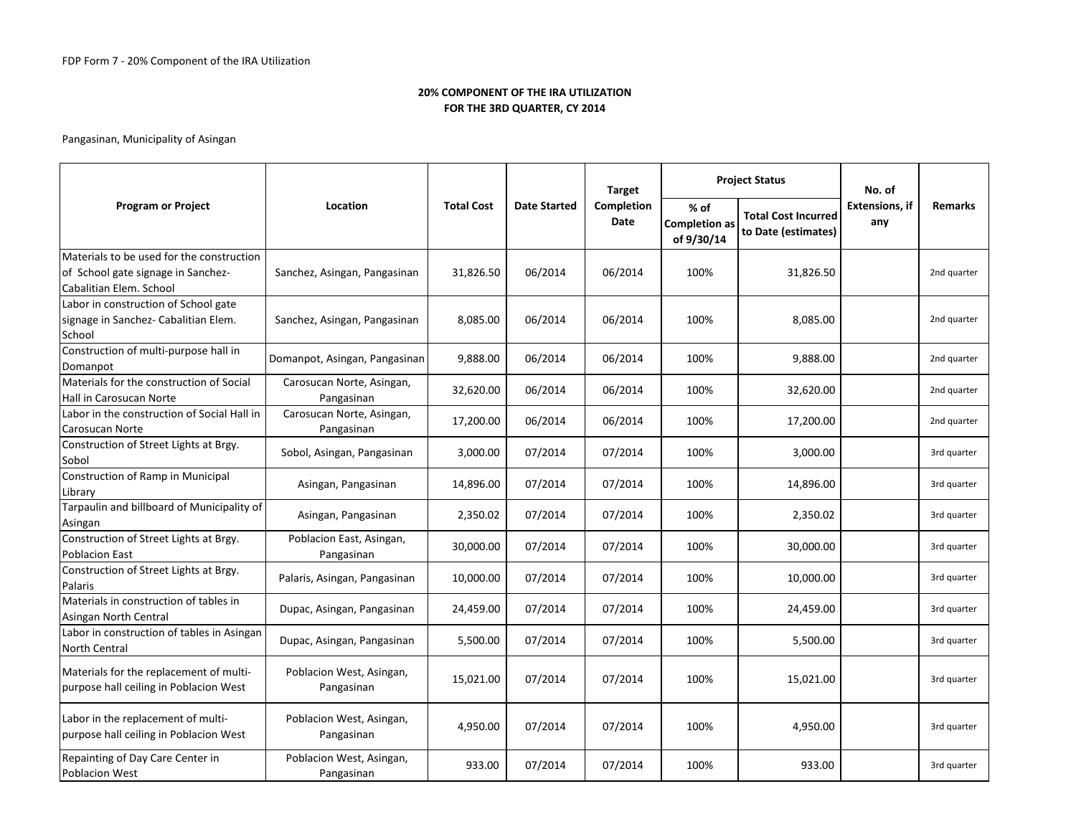|                                                                                                            |                                         |                   |                     | <b>Target</b>      |                                            | <b>Project Status</b>                             | No. of                       |                |
|------------------------------------------------------------------------------------------------------------|-----------------------------------------|-------------------|---------------------|--------------------|--------------------------------------------|---------------------------------------------------|------------------------------|----------------|
| <b>Program or Project</b>                                                                                  | Location                                | <b>Total Cost</b> | <b>Date Started</b> | Completion<br>Date | % of<br><b>Completion as</b><br>of 9/30/14 | <b>Total Cost Incurred</b><br>to Date (estimates) | <b>Extensions, if</b><br>any | <b>Remarks</b> |
| Materials to be used for the construction<br>of School gate signage in Sanchez-<br>Cabalitian Elem. School | Sanchez, Asingan, Pangasinan            | 31,826.50         | 06/2014             | 06/2014            | 100%                                       | 31,826.50                                         |                              | 2nd quarter    |
| Labor in construction of School gate<br>signage in Sanchez- Cabalitian Elem.<br>School                     | Sanchez, Asingan, Pangasinan            | 8,085.00          | 06/2014             | 06/2014            | 100%                                       | 8,085.00                                          |                              | 2nd quarter    |
| Construction of multi-purpose hall in<br>Domanpot                                                          | Domanpot, Asingan, Pangasinan           | 9,888.00          | 06/2014             | 06/2014            | 100%                                       | 9,888.00                                          |                              | 2nd quarter    |
| Materials for the construction of Social<br>Hall in Carosucan Norte                                        | Carosucan Norte, Asingan,<br>Pangasinan | 32,620.00         | 06/2014             | 06/2014            | 100%                                       | 32,620.00                                         |                              | 2nd quarter    |
| Labor in the construction of Social Hall in<br><b>Carosucan Norte</b>                                      | Carosucan Norte, Asingan,<br>Pangasinan | 17,200.00         | 06/2014             | 06/2014            | 100%                                       | 17,200.00                                         |                              | 2nd quarter    |
| Construction of Street Lights at Brgy.<br>Sobol                                                            | Sobol, Asingan, Pangasinan              | 3,000.00          | 07/2014             | 07/2014            | 100%                                       | 3,000.00                                          |                              | 3rd quarter    |
| Construction of Ramp in Municipal<br>Library                                                               | Asingan, Pangasinan                     | 14,896.00         | 07/2014             | 07/2014            | 100%                                       | 14,896.00                                         |                              | 3rd quarter    |
| Tarpaulin and billboard of Municipality of<br>Asingan                                                      | Asingan, Pangasinan                     | 2,350.02          | 07/2014             | 07/2014            | 100%                                       | 2,350.02                                          |                              | 3rd quarter    |
| Construction of Street Lights at Brgy.<br><b>Poblacion East</b>                                            | Poblacion East, Asingan,<br>Pangasinan  | 30,000.00         | 07/2014             | 07/2014            | 100%                                       | 30,000.00                                         |                              | 3rd quarter    |
| Construction of Street Lights at Brgy.<br>Palaris                                                          | Palaris, Asingan, Pangasinan            | 10,000.00         | 07/2014             | 07/2014            | 100%                                       | 10,000.00                                         |                              | 3rd quarter    |
| Materials in construction of tables in<br>Asingan North Central                                            | Dupac, Asingan, Pangasinan              | 24,459.00         | 07/2014             | 07/2014            | 100%                                       | 24,459.00                                         |                              | 3rd quarter    |
| Labor in construction of tables in Asingan<br>North Central                                                | Dupac, Asingan, Pangasinan              | 5,500.00          | 07/2014             | 07/2014            | 100%                                       | 5,500.00                                          |                              | 3rd quarter    |
| Materials for the replacement of multi-<br>purpose hall ceiling in Poblacion West                          | Poblacion West, Asingan,<br>Pangasinan  | 15,021.00         | 07/2014             | 07/2014            | 100%                                       | 15,021.00                                         |                              | 3rd quarter    |
| Labor in the replacement of multi-<br>purpose hall ceiling in Poblacion West                               | Poblacion West, Asingan,<br>Pangasinan  | 4,950.00          | 07/2014             | 07/2014            | 100%                                       | 4,950.00                                          |                              | 3rd quarter    |
| Repainting of Day Care Center in<br><b>Poblacion West</b>                                                  | Poblacion West, Asingan,<br>Pangasinan  | 933.00            | 07/2014             | 07/2014            | 100%                                       | 933.00                                            |                              | 3rd quarter    |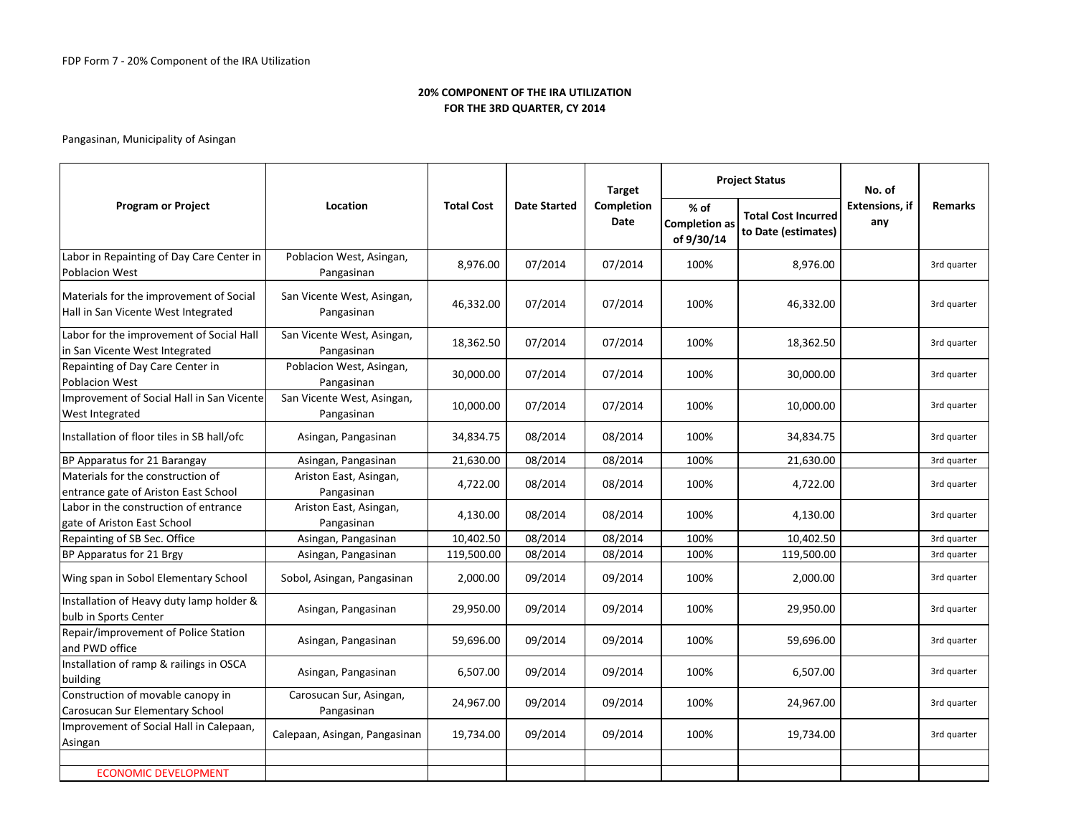|                                                                                |                                          |                   |                     | <b>Target</b>      |                                              | <b>Project Status</b>                             | No. of                       |                |
|--------------------------------------------------------------------------------|------------------------------------------|-------------------|---------------------|--------------------|----------------------------------------------|---------------------------------------------------|------------------------------|----------------|
| <b>Program or Project</b>                                                      | Location                                 | <b>Total Cost</b> | <b>Date Started</b> | Completion<br>Date | $%$ of<br><b>Completion as</b><br>of 9/30/14 | <b>Total Cost Incurred</b><br>to Date (estimates) | <b>Extensions, if</b><br>any | <b>Remarks</b> |
| Labor in Repainting of Day Care Center in<br><b>Poblacion West</b>             | Poblacion West, Asingan,<br>Pangasinan   | 8,976.00          | 07/2014             | 07/2014            | 100%                                         | 8,976.00                                          |                              | 3rd quarter    |
| Materials for the improvement of Social<br>Hall in San Vicente West Integrated | San Vicente West, Asingan,<br>Pangasinan | 46,332.00         | 07/2014             | 07/2014            | 100%                                         | 46,332.00                                         |                              | 3rd quarter    |
| Labor for the improvement of Social Hall<br>in San Vicente West Integrated     | San Vicente West, Asingan,<br>Pangasinan | 18,362.50         | 07/2014             | 07/2014            | 100%                                         | 18,362.50                                         |                              | 3rd quarter    |
| Repainting of Day Care Center in<br><b>Poblacion West</b>                      | Poblacion West, Asingan,<br>Pangasinan   | 30,000.00         | 07/2014             | 07/2014            | 100%                                         | 30,000.00                                         |                              | 3rd quarter    |
| Improvement of Social Hall in San Vicente<br>West Integrated                   | San Vicente West, Asingan,<br>Pangasinan | 10,000.00         | 07/2014             | 07/2014            | 100%                                         | 10,000.00                                         |                              | 3rd quarter    |
| Installation of floor tiles in SB hall/ofc                                     | Asingan, Pangasinan                      | 34,834.75         | 08/2014             | 08/2014            | 100%                                         | 34,834.75                                         |                              | 3rd quarter    |
| BP Apparatus for 21 Barangay                                                   | Asingan, Pangasinan                      | 21,630.00         | 08/2014             | 08/2014            | 100%                                         | 21,630.00                                         |                              | 3rd quarter    |
| Materials for the construction of<br>entrance gate of Ariston East School      | Ariston East, Asingan,<br>Pangasinan     | 4,722.00          | 08/2014             | 08/2014            | 100%                                         | 4,722.00                                          |                              | 3rd quarter    |
| Labor in the construction of entrance<br>gate of Ariston East School           | Ariston East, Asingan,<br>Pangasinan     | 4,130.00          | 08/2014             | 08/2014            | 100%                                         | 4,130.00                                          |                              | 3rd quarter    |
| Repainting of SB Sec. Office                                                   | Asingan, Pangasinan                      | 10,402.50         | 08/2014             | 08/2014            | 100%                                         | 10,402.50                                         |                              | 3rd quarter    |
| BP Apparatus for 21 Brgy                                                       | Asingan, Pangasinan                      | 119,500.00        | 08/2014             | 08/2014            | 100%                                         | 119,500.00                                        |                              | 3rd quarter    |
| Wing span in Sobol Elementary School                                           | Sobol, Asingan, Pangasinan               | 2,000.00          | 09/2014             | 09/2014            | 100%                                         | 2,000.00                                          |                              | 3rd quarter    |
| Installation of Heavy duty lamp holder &<br>bulb in Sports Center              | Asingan, Pangasinan                      | 29,950.00         | 09/2014             | 09/2014            | 100%                                         | 29,950.00                                         |                              | 3rd quarter    |
| Repair/improvement of Police Station<br>and PWD office                         | Asingan, Pangasinan                      | 59,696.00         | 09/2014             | 09/2014            | 100%                                         | 59,696.00                                         |                              | 3rd quarter    |
| Installation of ramp & railings in OSCA<br>building                            | Asingan, Pangasinan                      | 6,507.00          | 09/2014             | 09/2014            | 100%                                         | 6,507.00                                          |                              | 3rd quarter    |
| Construction of movable canopy in<br>Carosucan Sur Elementary School           | Carosucan Sur, Asingan,<br>Pangasinan    | 24,967.00         | 09/2014             | 09/2014            | 100%                                         | 24,967.00                                         |                              | 3rd quarter    |
| Improvement of Social Hall in Calepaan,<br>Asingan                             | Calepaan, Asingan, Pangasinan            | 19,734.00         | 09/2014             | 09/2014            | 100%                                         | 19,734.00                                         |                              | 3rd quarter    |
| <b>ECONOMIC DEVELOPMENT</b>                                                    |                                          |                   |                     |                    |                                              |                                                   |                              |                |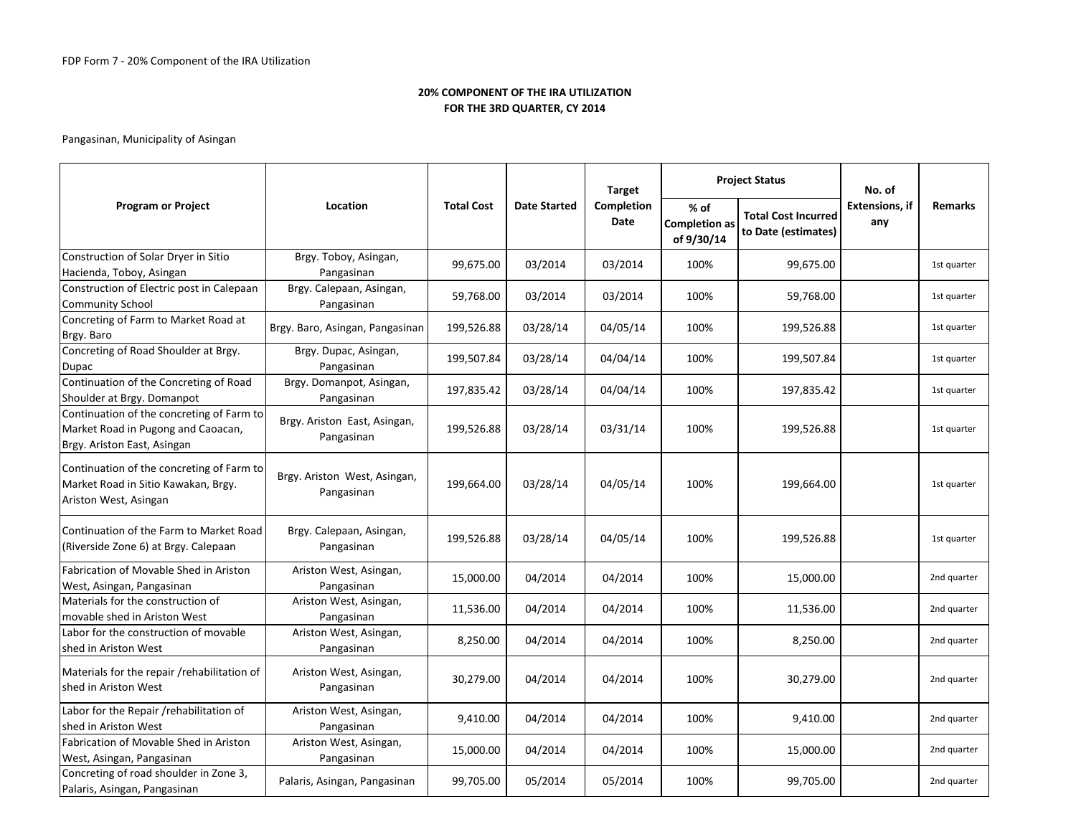| <b>Program or Project</b>                                                                                      |                                            |                   |                     | <b>Target</b>      |                                              | <b>Project Status</b>                             | No. of                       |                |
|----------------------------------------------------------------------------------------------------------------|--------------------------------------------|-------------------|---------------------|--------------------|----------------------------------------------|---------------------------------------------------|------------------------------|----------------|
|                                                                                                                | Location                                   | <b>Total Cost</b> | <b>Date Started</b> | Completion<br>Date | $%$ of<br><b>Completion as</b><br>of 9/30/14 | <b>Total Cost Incurred</b><br>to Date (estimates) | <b>Extensions, if</b><br>any | <b>Remarks</b> |
| Construction of Solar Dryer in Sitio<br>Hacienda, Toboy, Asingan                                               | Brgy. Toboy, Asingan,<br>Pangasinan        | 99,675.00         | 03/2014             | 03/2014            | 100%                                         | 99,675.00                                         |                              | 1st quarter    |
| Construction of Electric post in Calepaan<br><b>Community School</b>                                           | Brgy. Calepaan, Asingan,<br>Pangasinan     | 59,768.00         | 03/2014             | 03/2014            | 100%                                         | 59,768.00                                         |                              | 1st quarter    |
| Concreting of Farm to Market Road at<br>Brgy. Baro                                                             | Brgy. Baro, Asingan, Pangasinan            | 199,526.88        | 03/28/14            | 04/05/14           | 100%                                         | 199,526.88                                        |                              | 1st quarter    |
| Concreting of Road Shoulder at Brgy.<br>Dupac                                                                  | Brgy. Dupac, Asingan,<br>Pangasinan        | 199,507.84        | 03/28/14            | 04/04/14           | 100%                                         | 199,507.84                                        |                              | 1st quarter    |
| Continuation of the Concreting of Road<br>Shoulder at Brgy. Domanpot                                           | Brgy. Domanpot, Asingan,<br>Pangasinan     | 197,835.42        | 03/28/14            | 04/04/14           | 100%                                         | 197,835.42                                        |                              | 1st quarter    |
| Continuation of the concreting of Farm to<br>Market Road in Pugong and Caoacan,<br>Brgy. Ariston East, Asingan | Brgy. Ariston East, Asingan,<br>Pangasinan | 199,526.88        | 03/28/14            | 03/31/14           | 100%                                         | 199,526.88                                        |                              | 1st quarter    |
| Continuation of the concreting of Farm to<br>Market Road in Sitio Kawakan, Brgy.<br>Ariston West, Asingan      | Brgy. Ariston West, Asingan,<br>Pangasinan | 199,664.00        | 03/28/14            | 04/05/14           | 100%                                         | 199,664.00                                        |                              | 1st quarter    |
| Continuation of the Farm to Market Road<br>(Riverside Zone 6) at Brgy. Calepaan                                | Brgy. Calepaan, Asingan,<br>Pangasinan     | 199,526.88        | 03/28/14            | 04/05/14           | 100%                                         | 199,526.88                                        |                              | 1st quarter    |
| Fabrication of Movable Shed in Ariston<br>West, Asingan, Pangasinan                                            | Ariston West, Asingan,<br>Pangasinan       | 15,000.00         | 04/2014             | 04/2014            | 100%                                         | 15,000.00                                         |                              | 2nd quarter    |
| Materials for the construction of<br>movable shed in Ariston West                                              | Ariston West, Asingan,<br>Pangasinan       | 11,536.00         | 04/2014             | 04/2014            | 100%                                         | 11,536.00                                         |                              | 2nd quarter    |
| Labor for the construction of movable<br>shed in Ariston West                                                  | Ariston West, Asingan,<br>Pangasinan       | 8,250.00          | 04/2014             | 04/2014            | 100%                                         | 8,250.00                                          |                              | 2nd quarter    |
| Materials for the repair /rehabilitation of<br>shed in Ariston West                                            | Ariston West, Asingan,<br>Pangasinan       | 30,279.00         | 04/2014             | 04/2014            | 100%                                         | 30,279.00                                         |                              | 2nd quarter    |
| Labor for the Repair /rehabilitation of<br>shed in Ariston West                                                | Ariston West, Asingan,<br>Pangasinan       | 9,410.00          | 04/2014             | 04/2014            | 100%                                         | 9,410.00                                          |                              | 2nd quarter    |
| Fabrication of Movable Shed in Ariston<br>West, Asingan, Pangasinan                                            | Ariston West, Asingan,<br>Pangasinan       | 15,000.00         | 04/2014             | 04/2014            | 100%                                         | 15,000.00                                         |                              | 2nd quarter    |
| Concreting of road shoulder in Zone 3,<br>Palaris, Asingan, Pangasinan                                         | Palaris, Asingan, Pangasinan               | 99,705.00         | 05/2014             | 05/2014            | 100%                                         | 99,705.00                                         |                              | 2nd quarter    |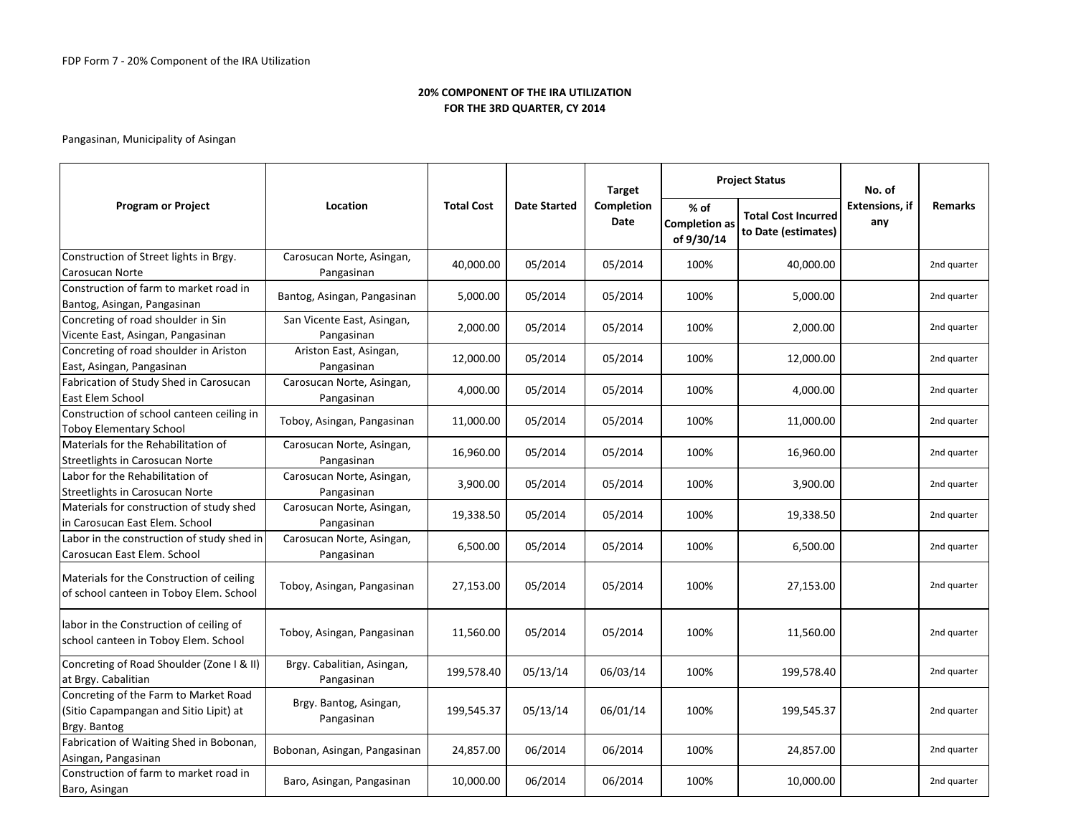|                                                                                                 |                                          |                   |                     | <b>Target</b>      |                                              | <b>Project Status</b>                             | No. of                       |                |
|-------------------------------------------------------------------------------------------------|------------------------------------------|-------------------|---------------------|--------------------|----------------------------------------------|---------------------------------------------------|------------------------------|----------------|
| <b>Program or Project</b>                                                                       | Location                                 | <b>Total Cost</b> | <b>Date Started</b> | Completion<br>Date | $%$ of<br><b>Completion as</b><br>of 9/30/14 | <b>Total Cost Incurred</b><br>to Date (estimates) | <b>Extensions, if</b><br>any | <b>Remarks</b> |
| Construction of Street lights in Brgy.<br>Carosucan Norte                                       | Carosucan Norte, Asingan,<br>Pangasinan  | 40,000.00         | 05/2014             | 05/2014            | 100%                                         | 40,000.00                                         |                              | 2nd quarter    |
| Construction of farm to market road in<br>Bantog, Asingan, Pangasinan                           | Bantog, Asingan, Pangasinan              | 5,000.00          | 05/2014             | 05/2014            | 100%                                         | 5,000.00                                          |                              | 2nd quarter    |
| Concreting of road shoulder in Sin<br>Vicente East, Asingan, Pangasinan                         | San Vicente East, Asingan,<br>Pangasinan | 2,000.00          | 05/2014             | 05/2014            | 100%                                         | 2,000.00                                          |                              | 2nd quarter    |
| Concreting of road shoulder in Ariston<br>East, Asingan, Pangasinan                             | Ariston East, Asingan,<br>Pangasinan     | 12,000.00         | 05/2014             | 05/2014            | 100%                                         | 12,000.00                                         |                              | 2nd quarter    |
| Fabrication of Study Shed in Carosucan<br>East Elem School                                      | Carosucan Norte, Asingan,<br>Pangasinan  | 4,000.00          | 05/2014             | 05/2014            | 100%                                         | 4,000.00                                          |                              | 2nd quarter    |
| Construction of school canteen ceiling in<br><b>Toboy Elementary School</b>                     | Toboy, Asingan, Pangasinan               | 11,000.00         | 05/2014             | 05/2014            | 100%                                         | 11,000.00                                         |                              | 2nd quarter    |
| Materials for the Rehabilitation of<br>Streetlights in Carosucan Norte                          | Carosucan Norte, Asingan,<br>Pangasinan  | 16,960.00         | 05/2014             | 05/2014            | 100%                                         | 16,960.00                                         |                              | 2nd quarter    |
| Labor for the Rehabilitation of<br>Streetlights in Carosucan Norte                              | Carosucan Norte, Asingan,<br>Pangasinan  | 3,900.00          | 05/2014             | 05/2014            | 100%                                         | 3,900.00                                          |                              | 2nd quarter    |
| Materials for construction of study shed<br>in Carosucan East Elem. School                      | Carosucan Norte, Asingan,<br>Pangasinan  | 19,338.50         | 05/2014             | 05/2014            | 100%                                         | 19,338.50                                         |                              | 2nd quarter    |
| Labor in the construction of study shed in<br>Carosucan East Elem. School                       | Carosucan Norte, Asingan,<br>Pangasinan  | 6,500.00          | 05/2014             | 05/2014            | 100%                                         | 6,500.00                                          |                              | 2nd quarter    |
| Materials for the Construction of ceiling<br>of school canteen in Toboy Elem. School            | Toboy, Asingan, Pangasinan               | 27,153.00         | 05/2014             | 05/2014            | 100%                                         | 27,153.00                                         |                              | 2nd quarter    |
| labor in the Construction of ceiling of<br>school canteen in Toboy Elem. School                 | Toboy, Asingan, Pangasinan               | 11,560.00         | 05/2014             | 05/2014            | 100%                                         | 11,560.00                                         |                              | 2nd quarter    |
| Concreting of Road Shoulder (Zone I & II)<br>at Brgy. Cabalitian                                | Brgy. Cabalitian, Asingan,<br>Pangasinan | 199,578.40        | 05/13/14            | 06/03/14           | 100%                                         | 199,578.40                                        |                              | 2nd quarter    |
| Concreting of the Farm to Market Road<br>(Sitio Capampangan and Sitio Lipit) at<br>Brgy. Bantog | Brgy. Bantog, Asingan,<br>Pangasinan     | 199,545.37        | 05/13/14            | 06/01/14           | 100%                                         | 199,545.37                                        |                              | 2nd quarter    |
| Fabrication of Waiting Shed in Bobonan,<br>Asingan, Pangasinan                                  | Bobonan, Asingan, Pangasinan             | 24,857.00         | 06/2014             | 06/2014            | 100%                                         | 24,857.00                                         |                              | 2nd quarter    |
| Construction of farm to market road in<br>Baro, Asingan                                         | Baro, Asingan, Pangasinan                | 10,000.00         | 06/2014             | 06/2014            | 100%                                         | 10,000.00                                         |                              | 2nd quarter    |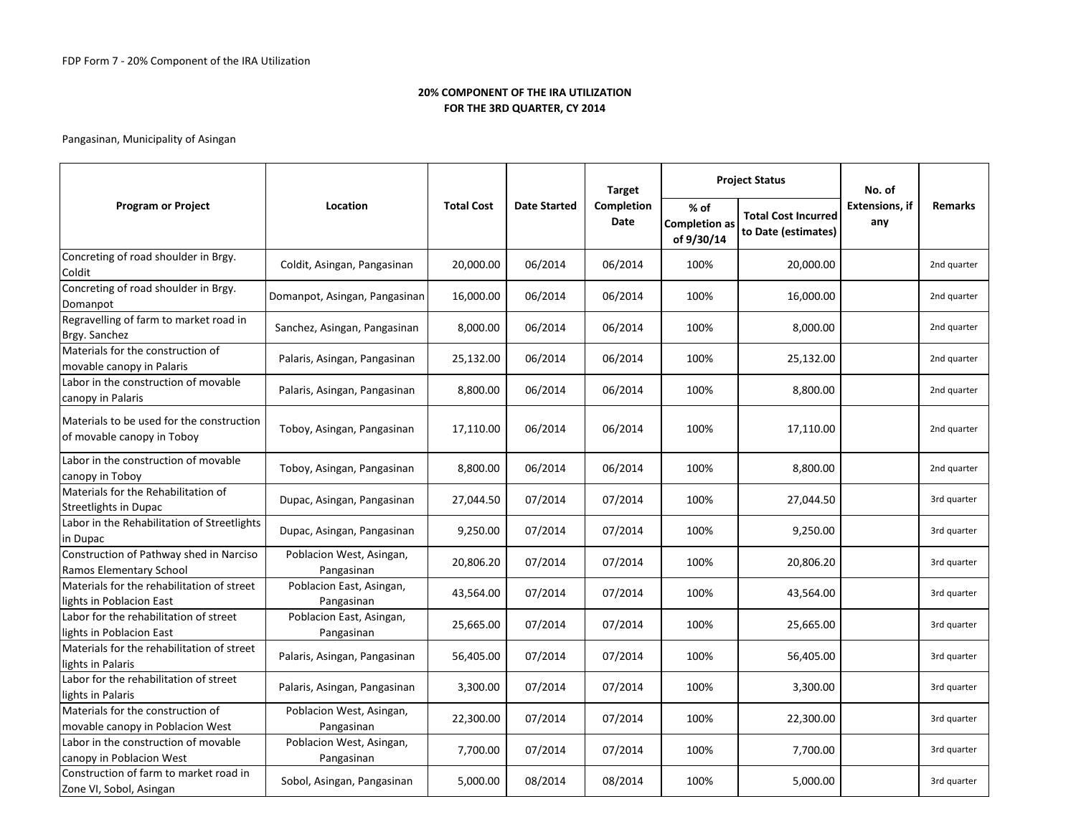|                                                                         |                                        |                   |                     | <b>Target</b>      |                                              | <b>Project Status</b>                             | No. of                       |                |
|-------------------------------------------------------------------------|----------------------------------------|-------------------|---------------------|--------------------|----------------------------------------------|---------------------------------------------------|------------------------------|----------------|
| <b>Program or Project</b>                                               | Location                               | <b>Total Cost</b> | <b>Date Started</b> | Completion<br>Date | $%$ of<br><b>Completion as</b><br>of 9/30/14 | <b>Total Cost Incurred</b><br>to Date (estimates) | <b>Extensions, if</b><br>any | <b>Remarks</b> |
| Concreting of road shoulder in Brgy.<br>Coldit                          | Coldit, Asingan, Pangasinan            | 20,000.00         | 06/2014             | 06/2014            | 100%                                         | 20,000.00                                         |                              | 2nd quarter    |
| Concreting of road shoulder in Brgy.<br>Domanpot                        | Domanpot, Asingan, Pangasinan          | 16,000.00         | 06/2014             | 06/2014            | 100%                                         | 16,000.00                                         |                              | 2nd quarter    |
| Regravelling of farm to market road in<br>Brgy. Sanchez                 | Sanchez, Asingan, Pangasinan           | 8,000.00          | 06/2014             | 06/2014            | 100%                                         | 8,000.00                                          |                              | 2nd quarter    |
| Materials for the construction of<br>movable canopy in Palaris          | Palaris, Asingan, Pangasinan           | 25,132.00         | 06/2014             | 06/2014            | 100%                                         | 25,132.00                                         |                              | 2nd quarter    |
| Labor in the construction of movable<br>canopy in Palaris               | Palaris, Asingan, Pangasinan           | 8,800.00          | 06/2014             | 06/2014            | 100%                                         | 8,800.00                                          |                              | 2nd quarter    |
| Materials to be used for the construction<br>of movable canopy in Toboy | Toboy, Asingan, Pangasinan             | 17,110.00         | 06/2014             | 06/2014            | 100%                                         | 17,110.00                                         |                              | 2nd quarter    |
| Labor in the construction of movable<br>canopy in Toboy                 | Toboy, Asingan, Pangasinan             | 8,800.00          | 06/2014             | 06/2014            | 100%                                         | 8,800.00                                          |                              | 2nd quarter    |
| Materials for the Rehabilitation of<br>Streetlights in Dupac            | Dupac, Asingan, Pangasinan             | 27,044.50         | 07/2014             | 07/2014            | 100%                                         | 27,044.50                                         |                              | 3rd quarter    |
| Labor in the Rehabilitation of Streetlights<br>in Dupac                 | Dupac, Asingan, Pangasinan             | 9,250.00          | 07/2014             | 07/2014            | 100%                                         | 9,250.00                                          |                              | 3rd quarter    |
| Construction of Pathway shed in Narciso<br>Ramos Elementary School      | Poblacion West, Asingan,<br>Pangasinan | 20,806.20         | 07/2014             | 07/2014            | 100%                                         | 20,806.20                                         |                              | 3rd quarter    |
| Materials for the rehabilitation of street<br>lights in Poblacion East  | Poblacion East, Asingan,<br>Pangasinan | 43,564.00         | 07/2014             | 07/2014            | 100%                                         | 43,564.00                                         |                              | 3rd quarter    |
| Labor for the rehabilitation of street<br>lights in Poblacion East      | Poblacion East, Asingan,<br>Pangasinan | 25,665.00         | 07/2014             | 07/2014            | 100%                                         | 25,665.00                                         |                              | 3rd quarter    |
| Materials for the rehabilitation of street<br>ights in Palaris          | Palaris, Asingan, Pangasinan           | 56,405.00         | 07/2014             | 07/2014            | 100%                                         | 56,405.00                                         |                              | 3rd quarter    |
| Labor for the rehabilitation of street<br>lights in Palaris             | Palaris, Asingan, Pangasinan           | 3,300.00          | 07/2014             | 07/2014            | 100%                                         | 3,300.00                                          |                              | 3rd quarter    |
| Materials for the construction of<br>movable canopy in Poblacion West   | Poblacion West, Asingan,<br>Pangasinan | 22,300.00         | 07/2014             | 07/2014            | 100%                                         | 22,300.00                                         |                              | 3rd quarter    |
| Labor in the construction of movable<br>canopy in Poblacion West        | Poblacion West, Asingan,<br>Pangasinan | 7,700.00          | 07/2014             | 07/2014            | 100%                                         | 7,700.00                                          |                              | 3rd quarter    |
| Construction of farm to market road in<br>Zone VI, Sobol, Asingan       | Sobol, Asingan, Pangasinan             | 5,000.00          | 08/2014             | 08/2014            | 100%                                         | 5,000.00                                          |                              | 3rd quarter    |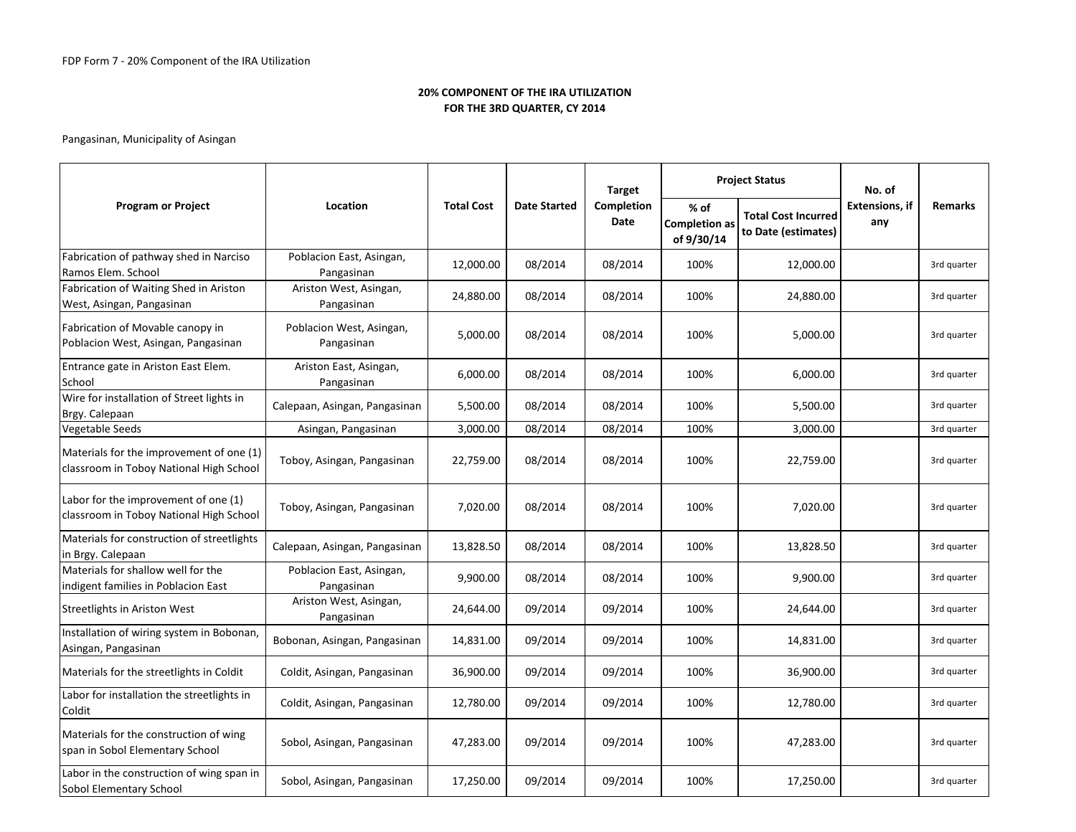|                                                                                     |                                        |                   |                     | <b>Target</b>      |                                            | <b>Project Status</b>                             | No. of                       |                |
|-------------------------------------------------------------------------------------|----------------------------------------|-------------------|---------------------|--------------------|--------------------------------------------|---------------------------------------------------|------------------------------|----------------|
| <b>Program or Project</b>                                                           | Location                               | <b>Total Cost</b> | <b>Date Started</b> | Completion<br>Date | % of<br><b>Completion as</b><br>of 9/30/14 | <b>Total Cost Incurred</b><br>to Date (estimates) | <b>Extensions, if</b><br>any | <b>Remarks</b> |
| Fabrication of pathway shed in Narciso<br>Ramos Elem. School                        | Poblacion East, Asingan,<br>Pangasinan | 12,000.00         | 08/2014             | 08/2014            | 100%                                       | 12,000.00                                         |                              | 3rd quarter    |
| Fabrication of Waiting Shed in Ariston<br>West, Asingan, Pangasinan                 | Ariston West, Asingan,<br>Pangasinan   | 24,880.00         | 08/2014             | 08/2014            | 100%                                       | 24,880.00                                         |                              | 3rd quarter    |
| Fabrication of Movable canopy in<br>Poblacion West, Asingan, Pangasinan             | Poblacion West, Asingan,<br>Pangasinan | 5,000.00          | 08/2014             | 08/2014            | 100%                                       | 5,000.00                                          |                              | 3rd quarter    |
| Entrance gate in Ariston East Elem.<br>School                                       | Ariston East, Asingan,<br>Pangasinan   | 6,000.00          | 08/2014             | 08/2014            | 100%                                       | 6,000.00                                          |                              | 3rd quarter    |
| Wire for installation of Street lights in<br>Brgy. Calepaan                         | Calepaan, Asingan, Pangasinan          | 5,500.00          | 08/2014             | 08/2014            | 100%                                       | 5,500.00                                          |                              | 3rd quarter    |
| Vegetable Seeds                                                                     | Asingan, Pangasinan                    | 3,000.00          | 08/2014             | 08/2014            | 100%                                       | 3,000.00                                          |                              | 3rd quarter    |
| Materials for the improvement of one (1)<br>classroom in Toboy National High School | Toboy, Asingan, Pangasinan             | 22,759.00         | 08/2014             | 08/2014            | 100%                                       | 22,759.00                                         |                              | 3rd quarter    |
| Labor for the improvement of one (1)<br>classroom in Toboy National High School     | Toboy, Asingan, Pangasinan             | 7,020.00          | 08/2014             | 08/2014            | 100%                                       | 7,020.00                                          |                              | 3rd quarter    |
| Materials for construction of streetlights<br>in Brgy. Calepaan                     | Calepaan, Asingan, Pangasinan          | 13,828.50         | 08/2014             | 08/2014            | 100%                                       | 13,828.50                                         |                              | 3rd quarter    |
| Materials for shallow well for the<br>indigent families in Poblacion East           | Poblacion East, Asingan,<br>Pangasinan | 9,900.00          | 08/2014             | 08/2014            | 100%                                       | 9,900.00                                          |                              | 3rd quarter    |
| <b>Streetlights in Ariston West</b>                                                 | Ariston West, Asingan,<br>Pangasinan   | 24,644.00         | 09/2014             | 09/2014            | 100%                                       | 24,644.00                                         |                              | 3rd quarter    |
| Installation of wiring system in Bobonan,<br>Asingan, Pangasinan                    | Bobonan, Asingan, Pangasinan           | 14,831.00         | 09/2014             | 09/2014            | 100%                                       | 14,831.00                                         |                              | 3rd quarter    |
| Materials for the streetlights in Coldit                                            | Coldit, Asingan, Pangasinan            | 36,900.00         | 09/2014             | 09/2014            | 100%                                       | 36,900.00                                         |                              | 3rd quarter    |
| Labor for installation the streetlights in<br>Coldit                                | Coldit, Asingan, Pangasinan            | 12,780.00         | 09/2014             | 09/2014            | 100%                                       | 12,780.00                                         |                              | 3rd quarter    |
| Materials for the construction of wing<br>span in Sobol Elementary School           | Sobol, Asingan, Pangasinan             | 47,283.00         | 09/2014             | 09/2014            | 100%                                       | 47,283.00                                         |                              | 3rd quarter    |
| Labor in the construction of wing span in<br>Sobol Elementary School                | Sobol, Asingan, Pangasinan             | 17,250.00         | 09/2014             | 09/2014            | 100%                                       | 17,250.00                                         |                              | 3rd quarter    |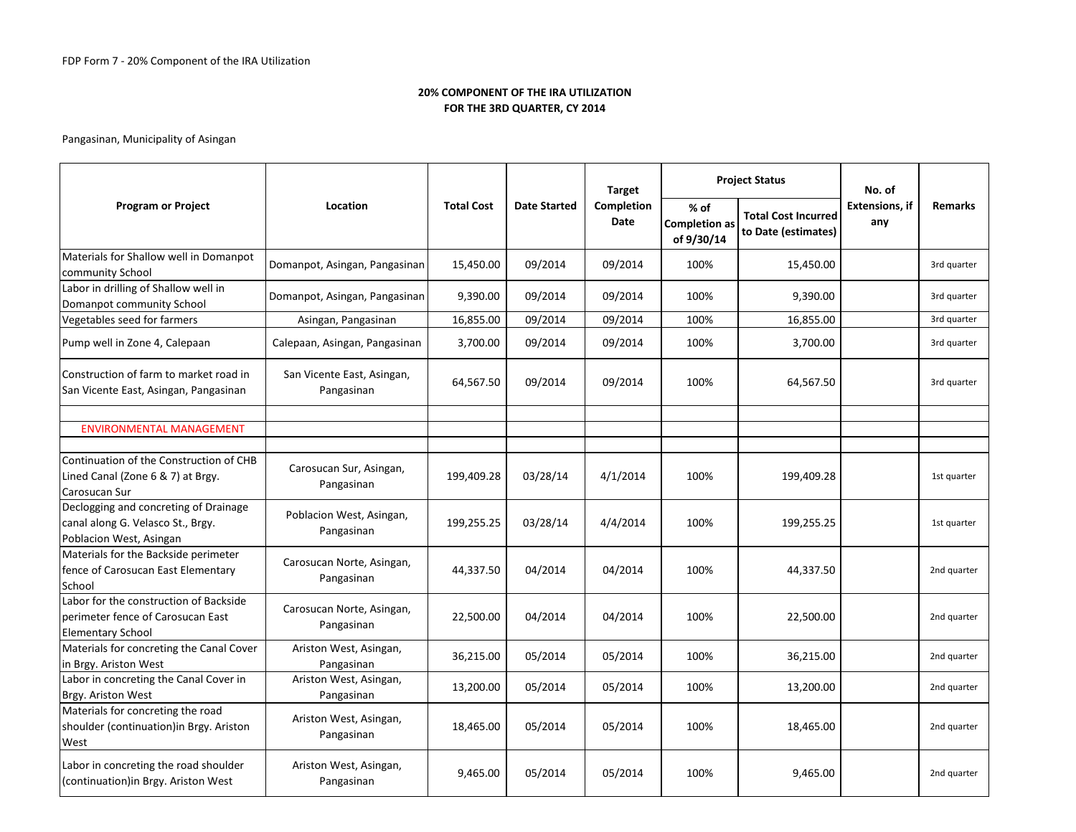|                                                                                                         |                                          |                   |                     | <b>Target</b>             |                                              | <b>Project Status</b>                             | No. of                       |                |
|---------------------------------------------------------------------------------------------------------|------------------------------------------|-------------------|---------------------|---------------------------|----------------------------------------------|---------------------------------------------------|------------------------------|----------------|
| <b>Program or Project</b>                                                                               | Location                                 | <b>Total Cost</b> | <b>Date Started</b> | Completion<br><b>Date</b> | $%$ of<br><b>Completion as</b><br>of 9/30/14 | <b>Total Cost Incurred</b><br>to Date (estimates) | <b>Extensions, if</b><br>any | <b>Remarks</b> |
| Materials for Shallow well in Domanpot<br>community School                                              | Domanpot, Asingan, Pangasinan            | 15,450.00         | 09/2014             | 09/2014                   | 100%                                         | 15,450.00                                         |                              | 3rd quarter    |
| Labor in drilling of Shallow well in<br>Domanpot community School                                       | Domanpot, Asingan, Pangasinan            | 9,390.00          | 09/2014             | 09/2014                   | 100%                                         | 9,390.00                                          |                              | 3rd quarter    |
| Vegetables seed for farmers                                                                             | Asingan, Pangasinan                      | 16,855.00         | 09/2014             | 09/2014                   | 100%                                         | 16,855.00                                         |                              | 3rd quarter    |
| Pump well in Zone 4, Calepaan                                                                           | Calepaan, Asingan, Pangasinan            | 3,700.00          | 09/2014             | 09/2014                   | 100%                                         | 3,700.00                                          |                              | 3rd quarter    |
| Construction of farm to market road in<br>San Vicente East, Asingan, Pangasinan                         | San Vicente East, Asingan,<br>Pangasinan | 64,567.50         | 09/2014             | 09/2014                   | 100%                                         | 64,567.50                                         |                              | 3rd quarter    |
|                                                                                                         |                                          |                   |                     |                           |                                              |                                                   |                              |                |
| <b>ENVIRONMENTAL MANAGEMENT</b>                                                                         |                                          |                   |                     |                           |                                              |                                                   |                              |                |
| Continuation of the Construction of CHB<br>Lined Canal (Zone 6 & 7) at Brgy.<br>Carosucan Sur           | Carosucan Sur, Asingan,<br>Pangasinan    | 199,409.28        | 03/28/14            | 4/1/2014                  | 100%                                         | 199,409.28                                        |                              | 1st quarter    |
| Declogging and concreting of Drainage<br>canal along G. Velasco St., Brgy.<br>Poblacion West, Asingan   | Poblacion West, Asingan,<br>Pangasinan   | 199,255.25        | 03/28/14            | 4/4/2014                  | 100%                                         | 199,255.25                                        |                              | 1st quarter    |
| Materials for the Backside perimeter<br>fence of Carosucan East Elementary<br>School                    | Carosucan Norte, Asingan,<br>Pangasinan  | 44,337.50         | 04/2014             | 04/2014                   | 100%                                         | 44,337.50                                         |                              | 2nd quarter    |
| Labor for the construction of Backside<br>perimeter fence of Carosucan East<br><b>Elementary School</b> | Carosucan Norte, Asingan,<br>Pangasinan  | 22,500.00         | 04/2014             | 04/2014                   | 100%                                         | 22,500.00                                         |                              | 2nd quarter    |
| Materials for concreting the Canal Cover<br>in Brgy. Ariston West                                       | Ariston West, Asingan,<br>Pangasinan     | 36,215.00         | 05/2014             | 05/2014                   | 100%                                         | 36,215.00                                         |                              | 2nd quarter    |
| Labor in concreting the Canal Cover in<br>Brgy. Ariston West                                            | Ariston West, Asingan,<br>Pangasinan     | 13,200.00         | 05/2014             | 05/2014                   | 100%                                         | 13,200.00                                         |                              | 2nd quarter    |
| Materials for concreting the road<br>shoulder (continuation)in Brgy. Ariston<br>West                    | Ariston West, Asingan,<br>Pangasinan     | 18,465.00         | 05/2014             | 05/2014                   | 100%                                         | 18,465.00                                         |                              | 2nd quarter    |
| Labor in concreting the road shoulder<br>(continuation) in Brgy. Ariston West                           | Ariston West, Asingan,<br>Pangasinan     | 9,465.00          | 05/2014             | 05/2014                   | 100%                                         | 9,465.00                                          |                              | 2nd quarter    |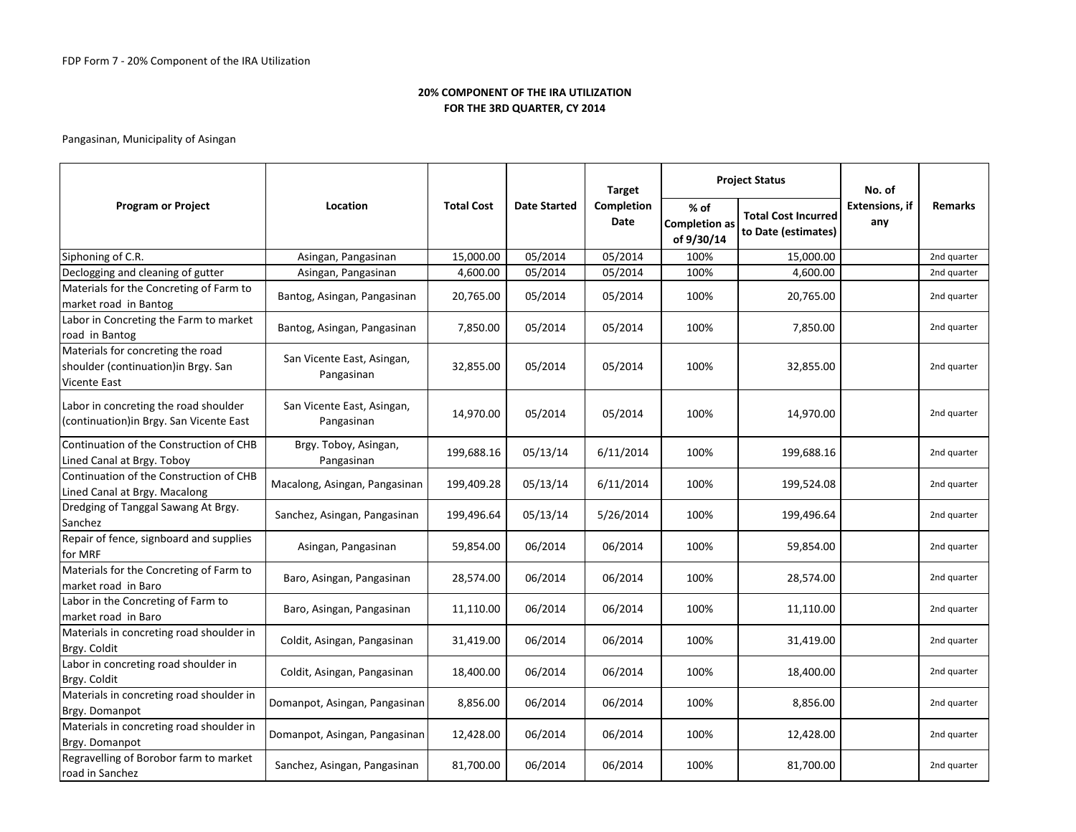|                                                                                                  |                                          |                   |                     | <b>Target</b>      |                                            | <b>Project Status</b>                             | No. of                       |                |
|--------------------------------------------------------------------------------------------------|------------------------------------------|-------------------|---------------------|--------------------|--------------------------------------------|---------------------------------------------------|------------------------------|----------------|
| <b>Program or Project</b>                                                                        | Location                                 | <b>Total Cost</b> | <b>Date Started</b> | Completion<br>Date | % of<br><b>Completion as</b><br>of 9/30/14 | <b>Total Cost Incurred</b><br>to Date (estimates) | <b>Extensions, if</b><br>any | <b>Remarks</b> |
| Siphoning of C.R.                                                                                | Asingan, Pangasinan                      | 15,000.00         | 05/2014             | 05/2014            | 100%                                       | 15,000.00                                         |                              | 2nd quarter    |
| Declogging and cleaning of gutter                                                                | Asingan, Pangasinan                      | 4,600.00          | 05/2014             | 05/2014            | 100%                                       | 4,600.00                                          |                              | 2nd quarter    |
| Materials for the Concreting of Farm to<br>market road in Bantog                                 | Bantog, Asingan, Pangasinan              | 20,765.00         | 05/2014             | 05/2014            | 100%                                       | 20,765.00                                         |                              | 2nd quarter    |
| Labor in Concreting the Farm to market<br>road in Bantog                                         | Bantog, Asingan, Pangasinan              | 7,850.00          | 05/2014             | 05/2014            | 100%                                       | 7,850.00                                          |                              | 2nd quarter    |
| Materials for concreting the road<br>shoulder (continuation) in Brgy. San<br><b>Vicente East</b> | San Vicente East, Asingan,<br>Pangasinan | 32,855.00         | 05/2014             | 05/2014            | 100%                                       | 32,855.00                                         |                              | 2nd quarter    |
| Labor in concreting the road shoulder<br>(continuation) in Brgy. San Vicente East                | San Vicente East, Asingan,<br>Pangasinan | 14,970.00         | 05/2014             | 05/2014            | 100%                                       | 14,970.00                                         |                              | 2nd quarter    |
| Continuation of the Construction of CHB<br>Lined Canal at Brgy. Toboy                            | Brgy. Toboy, Asingan,<br>Pangasinan      | 199,688.16        | 05/13/14            | 6/11/2014          | 100%                                       | 199,688.16                                        |                              | 2nd quarter    |
| Continuation of the Construction of CHB<br>Lined Canal at Brgy. Macalong                         | Macalong, Asingan, Pangasinan            | 199,409.28        | 05/13/14            | 6/11/2014          | 100%                                       | 199,524.08                                        |                              | 2nd quarter    |
| Dredging of Tanggal Sawang At Brgy.<br>Sanchez                                                   | Sanchez, Asingan, Pangasinan             | 199,496.64        | 05/13/14            | 5/26/2014          | 100%                                       | 199,496.64                                        |                              | 2nd quarter    |
| Repair of fence, signboard and supplies<br>for MRF                                               | Asingan, Pangasinan                      | 59,854.00         | 06/2014             | 06/2014            | 100%                                       | 59,854.00                                         |                              | 2nd quarter    |
| Materials for the Concreting of Farm to<br>market road in Baro                                   | Baro, Asingan, Pangasinan                | 28,574.00         | 06/2014             | 06/2014            | 100%                                       | 28,574.00                                         |                              | 2nd quarter    |
| Labor in the Concreting of Farm to<br>market road in Baro                                        | Baro, Asingan, Pangasinan                | 11,110.00         | 06/2014             | 06/2014            | 100%                                       | 11,110.00                                         |                              | 2nd quarter    |
| Materials in concreting road shoulder in<br>Brgy. Coldit                                         | Coldit, Asingan, Pangasinan              | 31,419.00         | 06/2014             | 06/2014            | 100%                                       | 31,419.00                                         |                              | 2nd quarter    |
| Labor in concreting road shoulder in<br>Brgy. Coldit                                             | Coldit, Asingan, Pangasinan              | 18,400.00         | 06/2014             | 06/2014            | 100%                                       | 18,400.00                                         |                              | 2nd quarter    |
| Materials in concreting road shoulder in<br>Brgy. Domanpot                                       | Domanpot, Asingan, Pangasinan            | 8,856.00          | 06/2014             | 06/2014            | 100%                                       | 8,856.00                                          |                              | 2nd quarter    |
| Materials in concreting road shoulder in<br>Brgy. Domanpot                                       | Domanpot, Asingan, Pangasinan            | 12,428.00         | 06/2014             | 06/2014            | 100%                                       | 12,428.00                                         |                              | 2nd quarter    |
| Regravelling of Borobor farm to market<br>road in Sanchez                                        | Sanchez, Asingan, Pangasinan             | 81,700.00         | 06/2014             | 06/2014            | 100%                                       | 81,700.00                                         |                              | 2nd quarter    |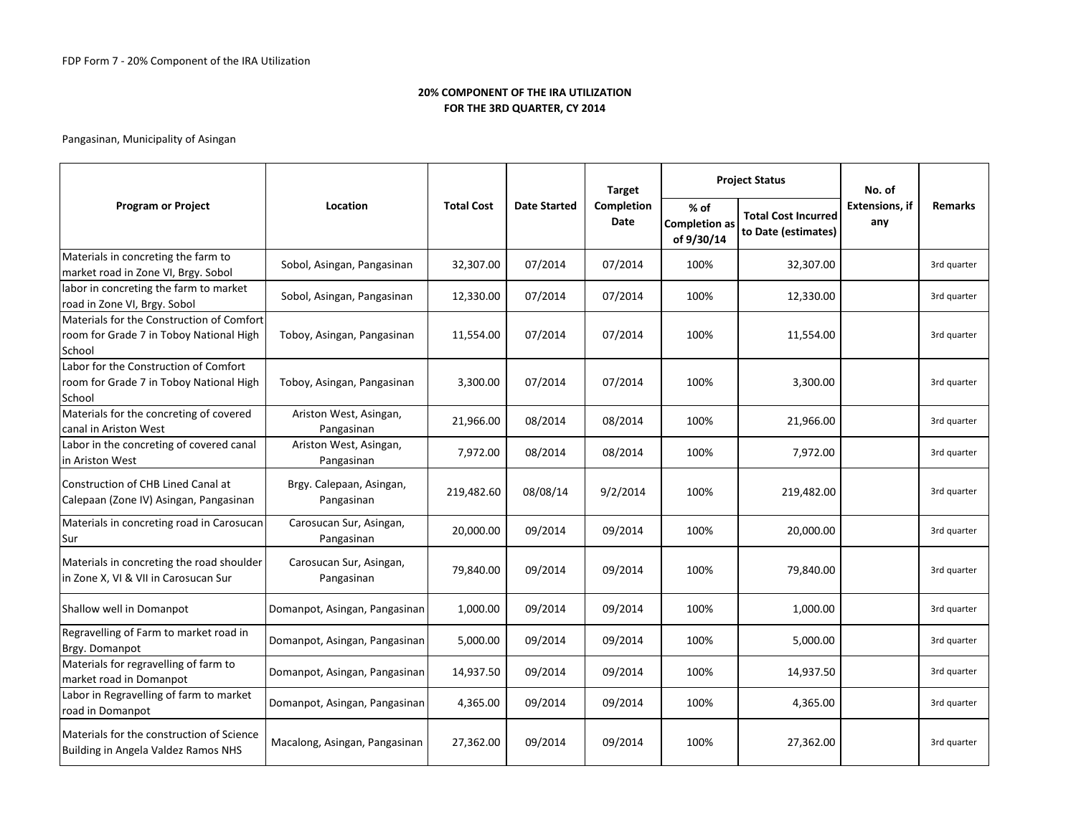|                                                                                                |                                        |                   |                     | <b>Target</b>      |                                            | <b>Project Status</b>                             | No. of                       |                |
|------------------------------------------------------------------------------------------------|----------------------------------------|-------------------|---------------------|--------------------|--------------------------------------------|---------------------------------------------------|------------------------------|----------------|
| <b>Program or Project</b>                                                                      | Location                               | <b>Total Cost</b> | <b>Date Started</b> | Completion<br>Date | % of<br><b>Completion as</b><br>of 9/30/14 | <b>Total Cost Incurred</b><br>to Date (estimates) | <b>Extensions, if</b><br>any | <b>Remarks</b> |
| Materials in concreting the farm to<br>market road in Zone VI, Brgy. Sobol                     | Sobol, Asingan, Pangasinan             | 32,307.00         | 07/2014             | 07/2014            | 100%                                       | 32,307.00                                         |                              | 3rd quarter    |
| labor in concreting the farm to market<br>road in Zone VI, Brgy. Sobol                         | Sobol, Asingan, Pangasinan             | 12,330.00         | 07/2014             | 07/2014            | 100%                                       | 12,330.00                                         |                              | 3rd quarter    |
| Materials for the Construction of Comfort<br>room for Grade 7 in Toboy National High<br>School | Toboy, Asingan, Pangasinan             | 11,554.00         | 07/2014             | 07/2014            | 100%                                       | 11,554.00                                         |                              | 3rd quarter    |
| Labor for the Construction of Comfort<br>room for Grade 7 in Toboy National High<br>School     | Toboy, Asingan, Pangasinan             | 3,300.00          | 07/2014             | 07/2014            | 100%                                       | 3,300.00                                          |                              | 3rd quarter    |
| Materials for the concreting of covered<br>canal in Ariston West                               | Ariston West, Asingan,<br>Pangasinan   | 21,966.00         | 08/2014             | 08/2014            | 100%                                       | 21,966.00                                         |                              | 3rd quarter    |
| Labor in the concreting of covered canal<br>in Ariston West                                    | Ariston West, Asingan,<br>Pangasinan   | 7,972.00          | 08/2014             | 08/2014            | 100%                                       | 7,972.00                                          |                              | 3rd quarter    |
| Construction of CHB Lined Canal at<br>Calepaan (Zone IV) Asingan, Pangasinan                   | Brgy. Calepaan, Asingan,<br>Pangasinan | 219,482.60        | 08/08/14            | 9/2/2014           | 100%                                       | 219,482.00                                        |                              | 3rd quarter    |
| Materials in concreting road in Carosucan<br>Sur                                               | Carosucan Sur, Asingan,<br>Pangasinan  | 20,000.00         | 09/2014             | 09/2014            | 100%                                       | 20,000.00                                         |                              | 3rd quarter    |
| Materials in concreting the road shoulder<br>in Zone X, VI & VII in Carosucan Sur              | Carosucan Sur, Asingan,<br>Pangasinan  | 79,840.00         | 09/2014             | 09/2014            | 100%                                       | 79,840.00                                         |                              | 3rd quarter    |
| Shallow well in Domanpot                                                                       | Domanpot, Asingan, Pangasinan          | 1,000.00          | 09/2014             | 09/2014            | 100%                                       | 1,000.00                                          |                              | 3rd quarter    |
| Regravelling of Farm to market road in<br>Brgy. Domanpot                                       | Domanpot, Asingan, Pangasinan          | 5,000.00          | 09/2014             | 09/2014            | 100%                                       | 5,000.00                                          |                              | 3rd quarter    |
| Materials for regravelling of farm to<br>market road in Domanpot                               | Domanpot, Asingan, Pangasinan          | 14,937.50         | 09/2014             | 09/2014            | 100%                                       | 14,937.50                                         |                              | 3rd quarter    |
| Labor in Regravelling of farm to market<br>road in Domanpot                                    | Domanpot, Asingan, Pangasinan          | 4,365.00          | 09/2014             | 09/2014            | 100%                                       | 4,365.00                                          |                              | 3rd quarter    |
| Materials for the construction of Science<br>Building in Angela Valdez Ramos NHS               | Macalong, Asingan, Pangasinan          | 27,362.00         | 09/2014             | 09/2014            | 100%                                       | 27,362.00                                         |                              | 3rd quarter    |